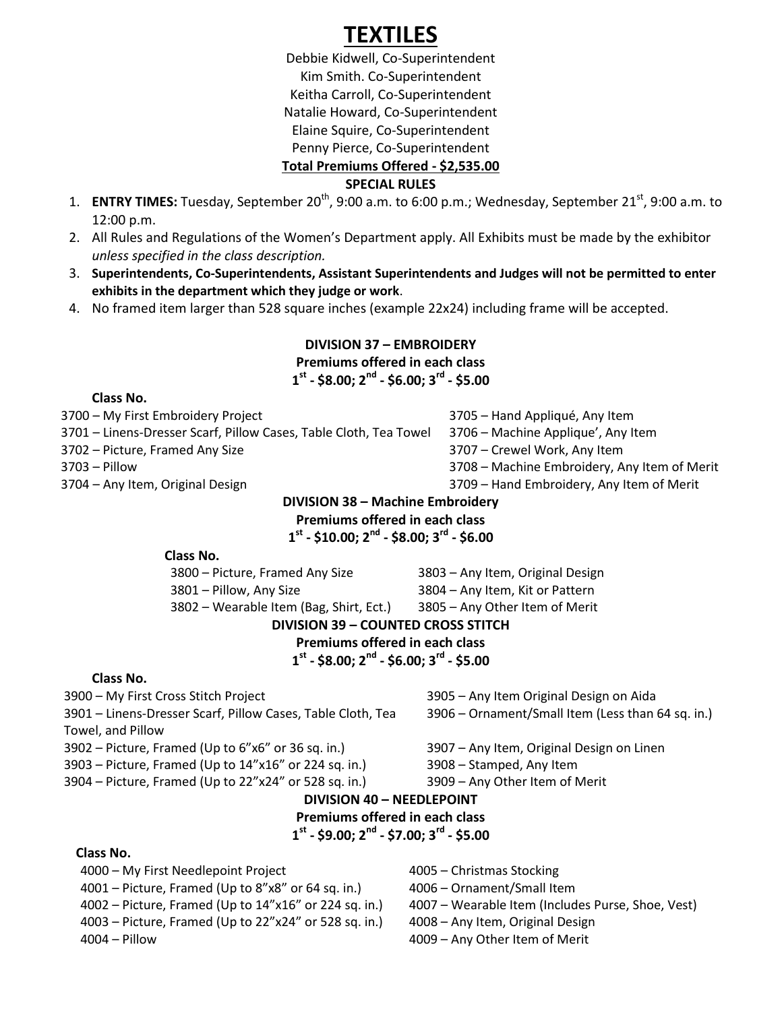# **TEXTILES**

Debbie Kidwell, Co-Superintendent Kim Smith. Co-Superintendent Keitha Carroll, Co-Superintendent Natalie Howard, Co-Superintendent Elaine Squire, Co-Superintendent Penny Pierce, Co-Superintendent

**Total Premiums Offered - \$2,535.00**

#### **SPECIAL RULES**

- 1. **ENTRY TIMES:** Tuesday, September 20<sup>th</sup>, 9:00 a.m. to 6:00 p.m.; Wednesday, September 21<sup>st</sup>, 9:00 a.m. to 12:00 p.m.
- 2. All Rules and Regulations of the Women's Department apply. All Exhibits must be made by the exhibitor *unless specified in the class description.*
- 3. **Superintendents, Co-Superintendents, Assistant Superintendents and Judges will not be permitted to enter exhibits in the department which they judge or work**.
- 4. No framed item larger than 528 square inches (example 22x24) including frame will be accepted.

## **DIVISION 37 – EMBROIDERY Premiums offered in each class 1 st - \$8.00; 2nd - \$6.00; 3rd - \$5.00**

#### **Class No.**

3700 – My First Embroidery Project 3705 – Hand Appliqué, Any Item

3701 – Linens-Dresser Scarf, Pillow Cases, Table Cloth, Tea Towel 3706 – Machine Applique', Any Item

3702 – Picture, Framed Any Size 3707 – Crewel Work, Any Item

- 
- 3703 Pillow 3708 Machine Embroidery, Any Item of Merit
- 3704 Any Item, Original Design 3709 Hand Embroidery, Any Item of Merit

## **DIVISION 38 – Machine Embroidery**

**Premiums offered in each class 1 st - \$10.00; 2nd - \$8.00; 3rd - \$6.00**

#### **Class No.**

3800 – Picture, Framed Any Size 3803 – Any Item, Original Design

3801 – Pillow, Any Size 3804 – Any Item, Kit or Pattern

#### 3802 – Wearable Item (Bag, Shirt, Ect.) 3805 – Any Other Item of Merit **DIVISION 39 – COUNTED CROSS STITCH**

## **Premiums offered in each class**

**1 st - \$8.00; 2nd - \$6.00; 3rd - \$5.00**

#### **Class No.**

3901 – Linens-Dresser Scarf, Pillow Cases, Table Cloth, Tea Towel, and Pillow

3902 – Picture, Framed (Up to 6"x6" or 36 sq. in.) 3907 – Any Item, Original Design on Linen

3903 – Picture, Framed (Up to 14"x16" or 224 sq. in.) 3908 – Stamped, Any Item

3900 – My First Cross Stitch Project 3905 – Any Item Original Design on Aida 3906 – Ornament/Small Item (Less than 64 sq. in.)

3904 – Picture, Framed (Up to 22"x24" or 528 sq. in.) 3909 – Any Other Item of Merit

## **DIVISION 40 – NEEDLEPOINT**

**Premiums offered in each class**

## **1 st - \$9.00; 2nd - \$7.00; 3rd - \$5.00**

## **Class No.**

4000 – My First Needlepoint Project 4005 – Christmas Stocking

4001 – Picture, Framed (Up to 8"x8" or 64 sq. in.) 4006 – Ornament/Small Item

4002 – Picture, Framed (Up to 14"x16" or 224 sq. in.) 4007 – Wearable Item (Includes Purse, Shoe, Vest)

4003 – Picture, Framed (Up to 22"x24" or 528 sq. in.) 4008 – Any Item, Original Design 4004 – Pillow 4009 – Any Other Item of Merit

- 
-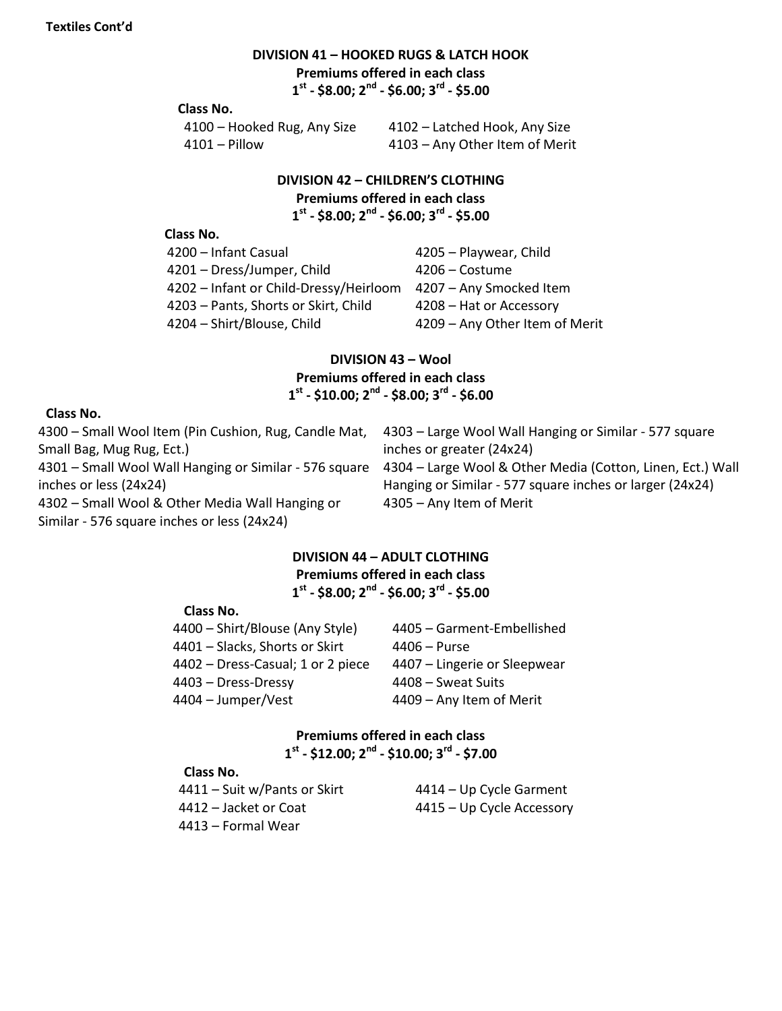## **DIVISION 41 – HOOKED RUGS & LATCH HOOK**

**Premiums offered in each class**

**1 st - \$8.00; 2nd - \$6.00; 3rd - \$5.00**

#### **Class No.**

|               | 4100 - Hooked Rug, Any Size |  |
|---------------|-----------------------------|--|
| 4101 – Pillow |                             |  |

4102 – Latched Hook, Any Size 4103 – Any Other Item of Merit

#### **DIVISION 42 – CHILDREN'S CLOTHING**

**Premiums offered in each class**

**1 st - \$8.00; 2nd - \$6.00; 3rd - \$5.00**

#### **Class No.**

| 4200 - Infant Casual                   | 4205 - Playwear, Child         |
|----------------------------------------|--------------------------------|
| 4201 - Dress/Jumper, Child             | 4206 - Costume                 |
| 4202 - Infant or Child-Dressy/Heirloom | 4207 - Any Smocked Item        |
| 4203 - Pants, Shorts or Skirt, Child   | 4208 – Hat or Accessory        |
| 4204 - Shirt/Blouse, Child             | 4209 - Any Other Item of Merit |
|                                        |                                |

## **DIVISION 43 – Wool Premiums offered in each class 1 st - \$10.00; 2nd - \$8.00; 3rd - \$6.00**

#### **Class No.**

| 4300 - Small Wool Item (Pin Cushion, Rug, Candle Mat,  | 4303 – Large Wool Wall Hanging or Similar - 577 square     |
|--------------------------------------------------------|------------------------------------------------------------|
| Small Bag, Mug Rug, Ect.)                              | inches or greater (24x24)                                  |
| 4301 – Small Wool Wall Hanging or Similar - 576 square | 4304 - Large Wool & Other Media (Cotton, Linen, Ect.) Wall |
| inches or less (24x24)                                 | Hanging or Similar - 577 square inches or larger (24x24)   |
| 4302 – Small Wool & Other Media Wall Hanging or        | 4305 - Any Item of Merit                                   |
| Similar - 576 square inches or less (24x24)            |                                                            |

## **DIVISION 44 – ADULT CLOTHING Premiums offered in each class 1 st - \$8.00; 2nd - \$6.00; 3rd - \$5.00**

#### **Class No.**

| 4400 - Shirt/Blouse (Any Style)   | 4405 - Garment-Embellished   |
|-----------------------------------|------------------------------|
| 4401 – Slacks, Shorts or Skirt    | $4406 - Purse$               |
| 4402 – Dress-Casual; 1 or 2 piece | 4407 – Lingerie or Sleepwear |
| 4403 - Dress-Dressy               | 4408 – Sweat Suits           |
| 4404 – Jumper/Vest                | 4409 - Any Item of Merit     |

## **Premiums offered in each class 1 st - \$12.00; 2nd - \$10.00; 3rd - \$7.00**

#### **Class No.**

| 4414 – Up Cycle Garment   |
|---------------------------|
| 4415 – Up Cycle Accessory |
|                           |
|                           |